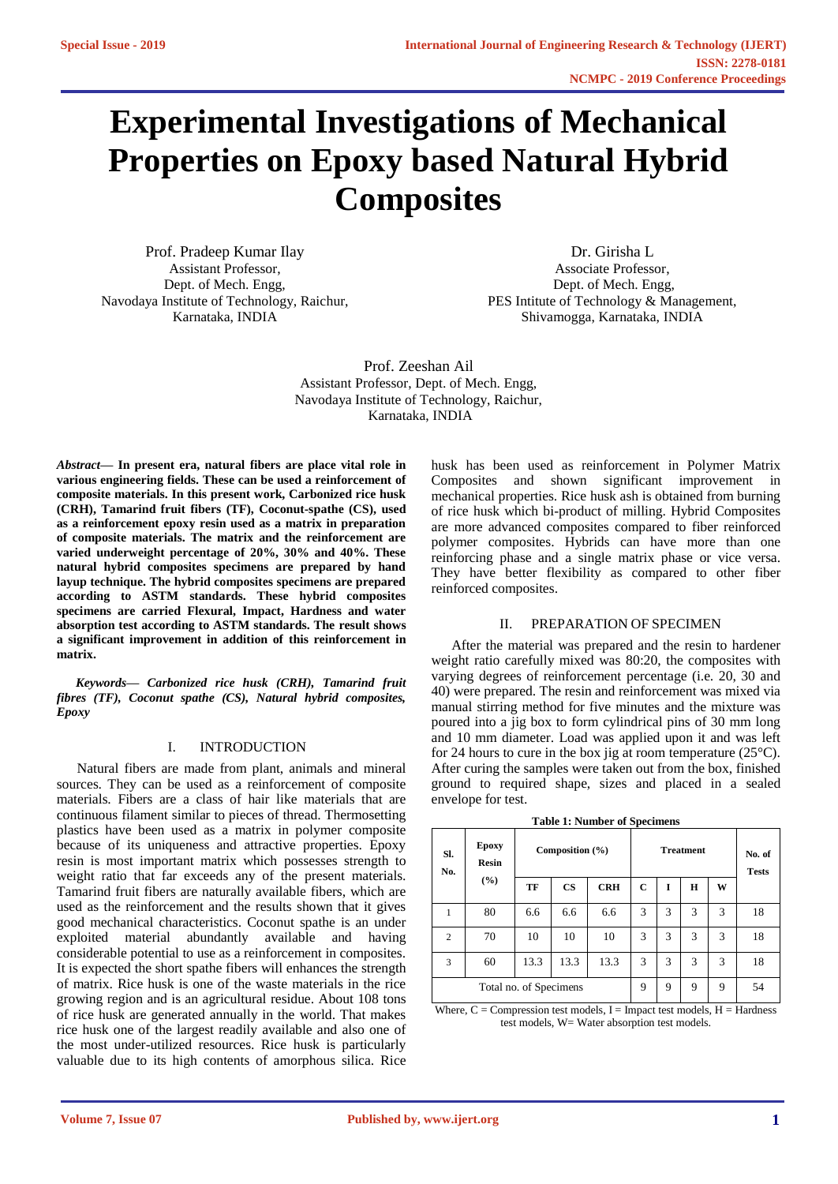# **Experimental Investigations of Mechanical Properties on Epoxy based Natural Hybrid Composites**

Prof. Pradeep Kumar Ilay Assistant Professor, Dept. of Mech. Engg, Navodaya Institute of Technology, Raichur, Karnataka, INDIA

Dr. Girisha L Associate Professor, Dept. of Mech. Engg, PES Intitute of Technology & Management, Shivamogga, Karnataka, INDIA

Prof. Zeeshan Ail Assistant Professor, Dept. of Mech. Engg, Navodaya Institute of Technology, Raichur, Karnataka, INDIA

*Abstract***— In present era, natural fibers are place vital role in various engineering fields. These can be used a reinforcement of composite materials. In this present work, Carbonized rice husk (CRH), Tamarind fruit fibers (TF), Coconut-spathe (CS), used as a reinforcement epoxy resin used as a matrix in preparation of composite materials. The matrix and the reinforcement are varied underweight percentage of 20%, 30% and 40%. These natural hybrid composites specimens are prepared by hand layup technique. The hybrid composites specimens are prepared according to ASTM standards. These hybrid composites specimens are carried Flexural, Impact, Hardness and water absorption test according to ASTM standards. The result shows a significant improvement in addition of this reinforcement in matrix.** 

*Keywords— Carbonized rice husk (CRH), Tamarind fruit fibres (TF), Coconut spathe (CS), Natural hybrid composites, Epoxy*

# I. INTRODUCTION

Natural fibers are made from plant, animals and mineral sources. They can be used as a reinforcement of composite materials. Fibers are a class of hair like materials that are continuous filament similar to pieces of thread. Thermosetting plastics have been used as a matrix in polymer composite because of its uniqueness and attractive properties. Epoxy resin is most important matrix which possesses strength to weight ratio that far exceeds any of the present materials. Tamarind fruit fibers are naturally available fibers, which are used as the reinforcement and the results shown that it gives good mechanical characteristics. Coconut spathe is an under exploited material abundantly available and having considerable potential to use as a reinforcement in composites. It is expected the short spathe fibers will enhances the strength of matrix. Rice husk is one of the waste materials in the rice growing region and is an agricultural residue. About 108 tons of rice husk are generated annually in the world. That makes rice husk one of the largest readily available and also one of the most under-utilized resources. Rice husk is particularly valuable due to its high contents of amorphous silica. Rice

husk has been used as reinforcement in Polymer Matrix Composites and shown significant improvement in mechanical properties. Rice husk ash is obtained from burning of rice husk which bi-product of milling. Hybrid Composites are more advanced composites compared to fiber reinforced polymer composites. Hybrids can have more than one reinforcing phase and a single matrix phase or vice versa. They have better flexibility as compared to other fiber reinforced composites.

#### II. PREPARATION OF SPECIMEN

After the material was prepared and the resin to hardener weight ratio carefully mixed was 80:20, the composites with varying degrees of reinforcement percentage (i.e. 20, 30 and 40) were prepared. The resin and reinforcement was mixed via manual stirring method for five minutes and the mixture was poured into a jig box to form cylindrical pins of 30 mm long and 10 mm diameter. Load was applied upon it and was left for 24 hours to cure in the box jig at room temperature  $(25^{\circ}C)$ . After curing the samples were taken out from the box, finished ground to required shape, sizes and placed in a sealed envelope for test.

| SI.<br>No.             | <b>Epoxy</b><br>Resin | Composition $(\% )$ |               |            | <b>Treatment</b> |   |   | No. of<br><b>Tests</b> |    |
|------------------------|-----------------------|---------------------|---------------|------------|------------------|---|---|------------------------|----|
|                        | (%)                   | TF                  | $\mathbf{CS}$ | <b>CRH</b> | C                | I | Н | W                      |    |
| 1                      | 80                    | 6.6                 | 6.6           | 6.6        | 3                | 3 | 3 | 3                      | 18 |
| $\overline{2}$         | 70                    | 10                  | 10            | 10         | 3                | 3 | 3 | 3                      | 18 |
| 3                      | 60                    | 13.3                | 13.3          | 13.3       | 3                | 3 | 3 | 3                      | 18 |
| Total no. of Specimens |                       |                     |               |            | 9                | 9 | 9 | 9                      | 54 |

**Table 1: Number of Specimens**

Where,  $C =$  Compression test models,  $I =$  Impact test models,  $H =$  Hardness test models, W= Water absorption test models.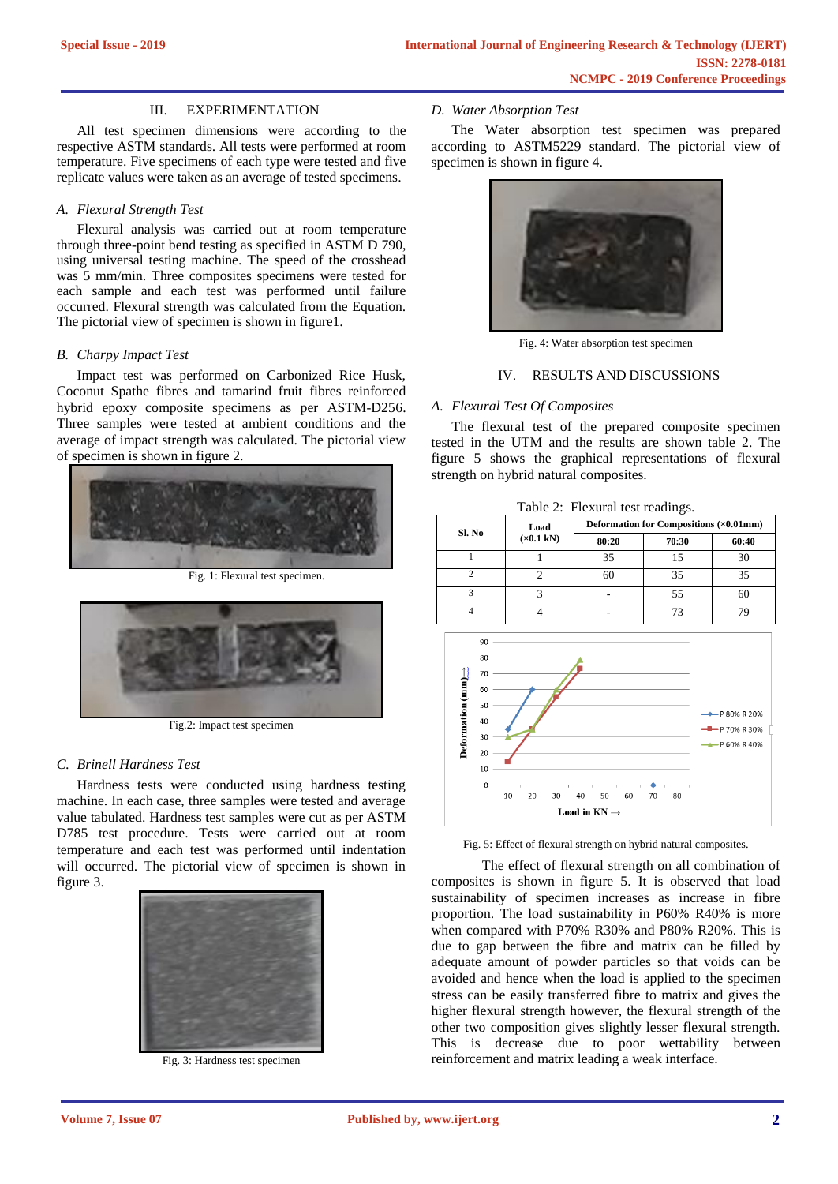#### III. EXPERIMENTATION

All test specimen dimensions were according to the respective ASTM standards. All tests were performed at room temperature. Five specimens of each type were tested and five replicate values were taken as an average of tested specimens.

## *A. Flexural Strength Test*

Flexural analysis was carried out at room temperature through three-point bend testing as specified in ASTM D 790, using universal testing machine. The speed of the crosshead was 5 mm/min. Three composites specimens were tested for each sample and each test was performed until failure occurred. Flexural strength was calculated from the Equation. The pictorial view of specimen is shown in figure1.

#### *B. Charpy Impact Test*

Impact test was performed on Carbonized Rice Husk, Coconut Spathe fibres and tamarind fruit fibres reinforced hybrid epoxy composite specimens as per ASTM-D256. Three samples were tested at ambient conditions and the average of impact strength was calculated. The pictorial view of specimen is shown in figure 2.



Fig. 1: Flexural test specimen.



Fig.2: Impact test specimen

## *C. Brinell Hardness Test*

Hardness tests were conducted using hardness testing machine. In each case, three samples were tested and average value tabulated. Hardness test samples were cut as per ASTM D785 test procedure. Tests were carried out at room temperature and each test was performed until indentation will occurred. The pictorial view of specimen is shown in figure 3.



Fig. 3: Hardness test specimen

## *D. Water Absorption Test*

The Water absorption test specimen was prepared according to ASTM5229 standard. The pictorial view of specimen is shown in figure 4.



Fig. 4: Water absorption test specimen

## IV. RESULTS AND DISCUSSIONS

#### *A. Flexural Test Of Composites*

The flexural test of the prepared composite specimen tested in the UTM and the results are shown table 2. The figure 5 shows the graphical representations of flexural strength on hybrid natural composites.



Fig. 5: Effect of flexural strength on hybrid natural composites.

The effect of flexural strength on all combination of composites is shown in figure 5. It is observed that load sustainability of specimen increases as increase in fibre proportion. The load sustainability in P60% R40% is more when compared with P70% R30% and P80% R20%. This is due to gap between the fibre and matrix can be filled by adequate amount of powder particles so that voids can be avoided and hence when the load is applied to the specimen stress can be easily transferred fibre to matrix and gives the higher flexural strength however, the flexural strength of the other two composition gives slightly lesser flexural strength. This is decrease due to poor wettability between reinforcement and matrix leading a weak interface.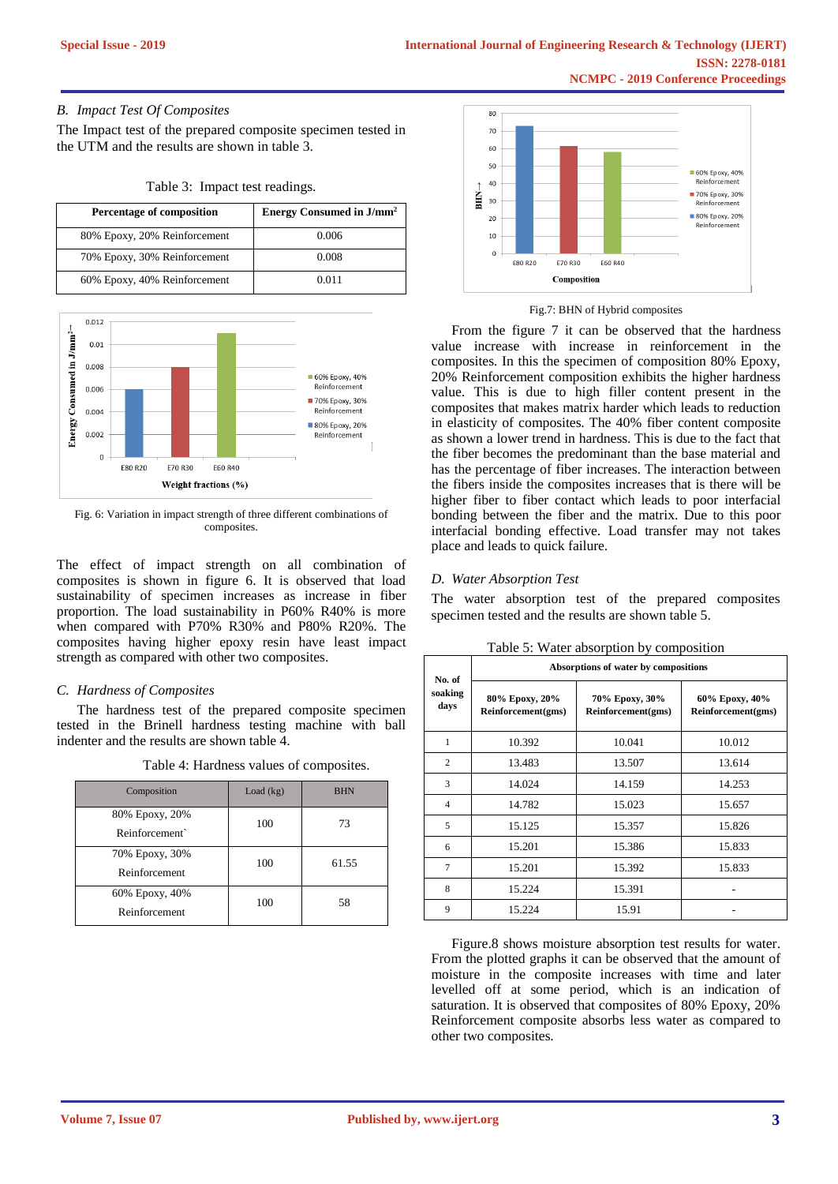# *B. Impact Test Of Composites*

The Impact test of the prepared composite specimen tested in the UTM and the results are shown in table 3.

Table 3: Impact test readings.

| <b>Percentage of composition</b> | Energy Consumed in $J/mm^2$ |
|----------------------------------|-----------------------------|
| 80% Epoxy, 20% Reinforcement     | 0.006                       |
| 70% Epoxy, 30% Reinforcement     | 0.008                       |
| 60% Epoxy, 40% Reinforcement     | 0.011                       |



Fig. 6: Variation in impact strength of three different combinations of composites.

The effect of impact strength on all combination of composites is shown in figure 6. It is observed that load sustainability of specimen increases as increase in fiber proportion. The load sustainability in P60% R40% is more when compared with P70% R30% and P80% R20%. The composites having higher epoxy resin have least impact strength as compared with other two composites.

# *C. Hardness of Composites*

The hardness test of the prepared composite specimen tested in the Brinell hardness testing machine with ball indenter and the results are shown table 4.

| Composition                      | Load $(kg)$ | <b>BHN</b> |
|----------------------------------|-------------|------------|
| 80% Epoxy, 20%<br>Reinforcement` | 100         | 73         |
| 70% Epoxy, 30%<br>Reinforcement  | 100         | 61.55      |
| 60% Epoxy, 40%<br>Reinforcement  | 100         | 58         |

Table 4: Hardness values of composites.



#### Fig.7: BHN of Hybrid composites

From the figure 7 it can be observed that the hardness value increase with increase in reinforcement in the composites. In this the specimen of composition 80% Epoxy, 20% Reinforcement composition exhibits the higher hardness value. This is due to high filler content present in the composites that makes matrix harder which leads to reduction in elasticity of composites. The 40% fiber content composite as shown a lower trend in hardness. This is due to the fact that the fiber becomes the predominant than the base material and has the percentage of fiber increases. The interaction between the fibers inside the composites increases that is there will be higher fiber to fiber contact which leads to poor interfacial bonding between the fiber and the matrix. Due to this poor interfacial bonding effective. Load transfer may not takes place and leads to quick failure.

## *D. Water Absorption Test*

The water absorption test of the prepared composites specimen tested and the results are shown table 5.

| No. of          | Absorptions of water by compositions |                                      |                                      |  |  |  |  |
|-----------------|--------------------------------------|--------------------------------------|--------------------------------------|--|--|--|--|
| soaking<br>days | 80% Epoxy, 20%<br>Reinforcement(gms) | 70% Epoxy, 30%<br>Reinforcement(gms) | 60% Epoxy, 40%<br>Reinforcement(gms) |  |  |  |  |
| 1               | 10.392                               | 10.041                               | 10.012                               |  |  |  |  |
| $\overline{c}$  | 13.483                               | 13.507                               | 13.614                               |  |  |  |  |
| 3               | 14.024                               | 14.159                               | 14.253                               |  |  |  |  |
| $\overline{4}$  | 14.782                               | 15.023                               | 15.657                               |  |  |  |  |
| 5               | 15.125                               | 15.357                               | 15.826                               |  |  |  |  |
| 6               | 15.201                               | 15.386                               | 15.833                               |  |  |  |  |
| $\overline{7}$  | 15.201                               | 15.392                               | 15.833                               |  |  |  |  |
| 8               | 15.224                               | 15.391                               |                                      |  |  |  |  |
| 9               | 15.224                               | 15.91                                |                                      |  |  |  |  |

Table 5: Water absorption by composition

Figure.8 shows moisture absorption test results for water. From the plotted graphs it can be observed that the amount of moisture in the composite increases with time and later levelled off at some period, which is an indication of saturation. It is observed that composites of 80% Epoxy, 20% Reinforcement composite absorbs less water as compared to other two composites.